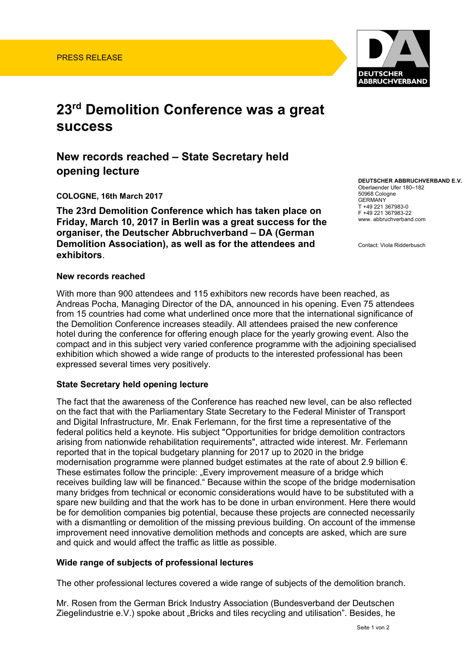

# 23<sup>rd</sup> Demolition Conference was a great success

# New records reached – State Secretary held opening lecture

COLOGNE, 16th March 2017

[The](http://de.pons.com/%C3%BCbersetzung/englisch-deutsch/The) [23rd](http://de.pons.com/%C3%BCbersetzung/englisch-deutsch/23rd) Demolition Conference which [has](http://de.pons.com/%C3%BCbersetzung/englisch-deutsch/has) [taken](http://de.pons.com/%C3%BCbersetzung/englisch-deutsch/taken) [place](http://de.pons.com/%C3%BCbersetzung/englisch-deutsch/place) [on](http://de.pons.com/%C3%BCbersetzung/englisch-deutsch/on) [Friday,](http://de.pons.com/%C3%BCbersetzung/englisch-deutsch/Friday) March 10, 2017 [in](http://de.pons.com/%C3%BCbersetzung/englisch-deutsch/in) [Berlin](http://de.pons.com/%C3%BCbersetzung/englisch-deutsch/Berlin) [was](http://de.pons.com/%C3%BCbersetzung/englisch-deutsch/was) [a](http://de.pons.com/%C3%BCbersetzung/englisch-deutsch/a) great [success](http://de.pons.com/%C3%BCbersetzung/englisch-deutsch/success) [for](http://de.pons.com/%C3%BCbersetzung/englisch-deutsch/for) [the](http://de.pons.com/%C3%BCbersetzung/englisch-deutsch/the) [organiser](http://de.pons.com/%C3%BCbersetzung/englisch-deutsch/organizer), [the](http://de.pons.com/%C3%BCbersetzung/englisch-deutsch/the) [Deutscher](http://de.pons.com/%C3%BCbersetzung/englisch-deutsch/THERE) Abbruchverband – DA ([German](http://de.pons.com/%C3%BCbersetzung/englisch-deutsch/German) [Demolition](http://de.pons.com/%C3%BCbersetzung/englisch-deutsch/demolition) [Association](http://de.pons.com/%C3%BCbersetzung/englisch-deutsch/association)), [as](http://de.pons.com/%C3%BCbersetzung/englisch-deutsch/as) [well](http://de.pons.com/%C3%BCbersetzung/englisch-deutsch/well) [as](http://de.pons.com/%C3%BCbersetzung/englisch-deutsch/as) [for](http://de.pons.com/%C3%BCbersetzung/englisch-deutsch/for) [the](http://de.pons.com/%C3%BCbersetzung/englisch-deutsch/the) attendees [and](http://de.pons.com/%C3%BCbersetzung/englisch-deutsch/and) [exhibitors](http://de.pons.com/%C3%BCbersetzung/englisch-deutsch/exhibitors).

DEUTSCHER ABBRUCHVERBAND E.V. Oberlaender Ufer 180–182 50968 Cologne GERMANY T +49 221 367983-0 F +49 221 367983-22 www. abbruchverband.com

Contact: Viola Ridderbusch

#### New records reached

With more than 900 attendees and 115 exhibitors new records have been reached, as Andreas Pocha, Managing Director of the DA, announced in his opening. Even 75 attendees from 15 countries had come what underlined once more that the international significance of the Demolition Conference increases steadily. All attendees praised the new conference hotel during the conference for offering enough place for the yearly growing event. Also the compact and in this subject very varied conference programme with the adjoining specialised exhibition which showed a wide range of products to the interested professional has been expressed several times very positively.

## State Secretary held opening lecture

The fact that the awareness of the Conference has reached new level, can be also reflected on the fact that with the Parliamentary State Secretary to the Federal Minister of Transport and Digital Infrastructure, Mr. Enak Ferlemann, for the first time a representative of the federal politics held a keynote. His subject "Opportunities for bridge demolition contractors arising from nationwide rehabilitation requirements", attracted wide interest. Mr. Ferlemann reported that in the topical budgetary planning for 2017 up to 2020 in the bridge modernisation programme were planned budget estimates at the rate of about 2.9 billion €. These estimates follow the principle: "Every improvement measure of a bridge which receives building law will be financed." Because within the scope of the bridge modernisation many bridges from technical or economic considerations would have to be substituted with a spare new building and that the work has to be done in urban environment. Here there would be for demolition companies big potential, because these projects are connected necessarily with a dismantling or demolition of the missing previous building. On account of the immense improvement need innovative demolition methods and concepts are asked, which are sure and quick and would affect the traffic as little as possible.

#### Wide range of subjects of professional lectures

The other professional lectures covered a wide range of subjects of the demolition branch.

Mr. Rosen from the German Brick Industry Association (Bundesverband der Deutschen Ziegelindustrie e.V.) spoke about "Bricks and tiles recycling and utilisation". Besides, he